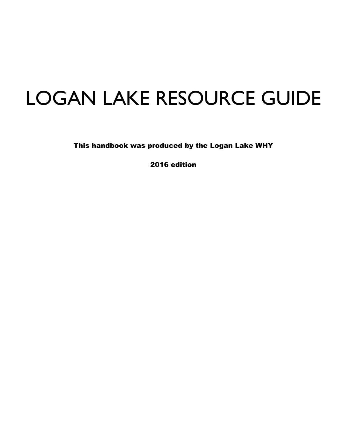# LOGAN LAKE RESOURCE GUIDE

This handbook was produced by the Logan Lake WHY

2016 edition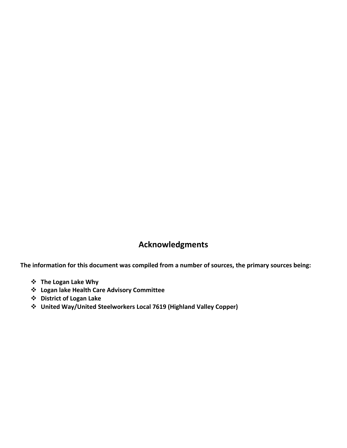#### **Acknowledgments**

**The information for this document was compiled from a number of sources, the primary sources being:**

- **The Logan Lake Why**
- **Logan lake Health Care Advisory Committee**
- **District of Logan Lake**
- **United Way/United Steelworkers Local 7619 (Highland Valley Copper)**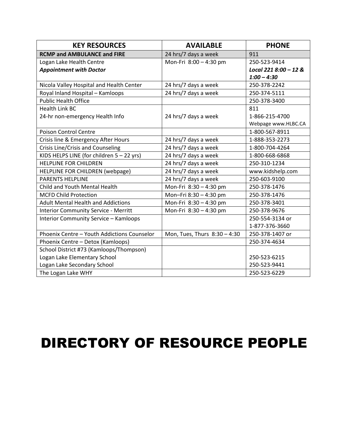| <b>KEY RESOURCES</b>                         | <b>AVAILABLE</b>             | <b>PHONE</b>          |
|----------------------------------------------|------------------------------|-----------------------|
| <b>RCMP and AMBULANCE and FIRE</b>           | 24 hrs/7 days a week         | 911                   |
| Logan Lake Health Centre                     | Mon-Fri 8:00 - 4:30 pm       | 250-523-9414          |
| <b>Appointment with Doctor</b>               |                              | Local 221 8:00 - 12 & |
|                                              |                              | $1:00 - 4:30$         |
| Nicola Valley Hospital and Health Center     | 24 hrs/7 days a week         | 250-378-2242          |
| Royal Inland Hospital - Kamloops             | 24 hrs/7 days a week         | 250-374-5111          |
| <b>Public Health Office</b>                  |                              | 250-378-3400          |
| <b>Health Link BC</b>                        |                              | 811                   |
| 24-hr non-emergency Health Info              | 24 hrs/7 days a week         | 1-866-215-4700        |
|                                              |                              | Webpage www.HLBC.CA   |
| <b>Poison Control Centre</b>                 |                              | 1-800-567-8911        |
| Crisis line & Emergency After Hours          | 24 hrs/7 days a week         | 1-888-353-2273        |
| Crisis Line/Crisis and Counseling            | 24 hrs/7 days a week         | 1-800-704-4264        |
| KIDS HELPS LINE (for children 5 - 22 yrs)    | 24 hrs/7 days a week         | 1-800-668-6868        |
| <b>HELPLINE FOR CHILDREN</b>                 | 24 hrs/7 days a week         | 250-310-1234          |
| HELPLINE FOR CHILDREN (webpage)              | 24 hrs/7 days a week         | www.kidshelp.com      |
| <b>PARENTS HELPLINE</b>                      | 24 hrs/7 days a week         | 250-603-9100          |
| Child and Youth Mental Health                | Mon-Fri 8:30 - 4:30 pm       | 250-378-1476          |
| <b>MCFD Child Protection</b>                 | Mon-Fri 8:30 - 4:30 pm       | 250-378-1476          |
| <b>Adult Mental Health and Addictions</b>    | Mon-Fri 8:30 - 4:30 pm       | 250-378-3401          |
| <b>Interior Community Service - Merritt</b>  | Mon-Fri 8:30 - 4:30 pm       | 250-378-9676          |
| <b>Interior Community Service - Kamloops</b> |                              | 250-554-3134 or       |
|                                              |                              | 1-877-376-3660        |
| Phoenix Centre - Youth Addictions Counselor  | Mon, Tues, Thurs 8:30 - 4:30 | 250-378-1407 or       |
| Phoenix Centre - Detox (Kamloops)            |                              | 250-374-4634          |
| School District #73 (Kamloops/Thompson)      |                              |                       |
| Logan Lake Elementary School                 |                              | 250-523-6215          |
| Logan Lake Secondary School                  |                              | 250-523-9441          |
| The Logan Lake WHY                           |                              | 250-523-6229          |

### DIRECTORY OF RESOURCE PEOPLE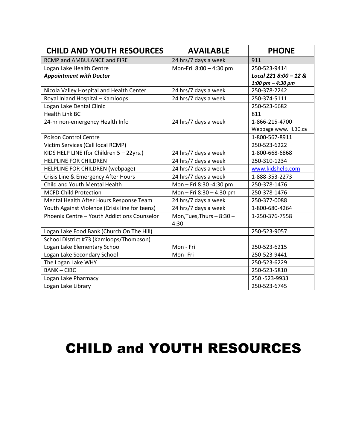| <b>CHILD AND YOUTH RESOURCES</b>               | <b>AVAILABLE</b>          | <b>PHONE</b>            |
|------------------------------------------------|---------------------------|-------------------------|
| RCMP and AMBULANCE and FIRE                    | 24 hrs/7 days a week      | 911                     |
| Logan Lake Health Centre                       | Mon-Fri 8:00 - 4:30 pm    | 250-523-9414            |
| <b>Appointment with Doctor</b>                 |                           | Local 221 $8:00 - 12$ & |
|                                                |                           | 1:00 pm $-$ 4:30 pm     |
| Nicola Valley Hospital and Health Center       | 24 hrs/7 days a week      | 250-378-2242            |
| Royal Inland Hospital - Kamloops               | 24 hrs/7 days a week      | 250-374-5111            |
| Logan Lake Dental Clinic                       |                           | 250-523-6682            |
| <b>Health Link BC</b>                          |                           | 811                     |
| 24-hr non-emergency Health Info                | 24 hrs/7 days a week      | 1-866-215-4700          |
|                                                |                           | Webpage www.HLBC.ca     |
| <b>Poison Control Centre</b>                   |                           | 1-800-567-8911          |
| Victim Services (Call local RCMP)              |                           | 250-523-6222            |
| KIDS HELP LINE (for Children 5 - 22yrs.)       | 24 hrs/7 days a week      | 1-800-668-6868          |
| <b>HELPLINE FOR CHILDREN</b>                   | 24 hrs/7 days a week      | 250-310-1234            |
| HELPLINE FOR CHILDREN (webpage)                | 24 hrs/7 days a week      | www.kidshelp.com        |
| Crisis Line & Emergency After Hours            | 24 hrs/7 days a week      | 1-888-353-2273          |
| Child and Youth Mental Health                  | Mon-Fri 8:30-4:30 pm      | 250-378-1476            |
| <b>MCFD Child Protection</b>                   | Mon-Fri 8:30-4:30 pm      | 250-378-1476            |
| Mental Health After Hours Response Team        | 24 hrs/7 days a week      | 250-377-0088            |
| Youth Against Violence (Crisis line for teens) | 24 hrs/7 days a week      | 1-800-680-4264          |
| Phoenix Centre - Youth Addictions Counselor    | Mon, Tues, Thurs $-8:30-$ | 1-250-376-7558          |
|                                                | 4:30                      |                         |
| Logan Lake Food Bank (Church On The Hill)      |                           | 250-523-9057            |
| School District #73 (Kamloops/Thompson)        |                           |                         |
| Logan Lake Elementary School                   | Mon - Fri                 | 250-523-6215            |
| Logan Lake Secondary School                    | Mon-Fri                   | 250-523-9441            |
| The Logan Lake WHY                             |                           | 250-523-6229            |
| <b>BANK-CIBC</b>                               |                           | 250-523-5810            |
| Logan Lake Pharmacy                            |                           | 250 - 523 - 9933        |
| Logan Lake Library                             |                           | 250-523-6745            |

#### CHILD and YOUTH RESOURCES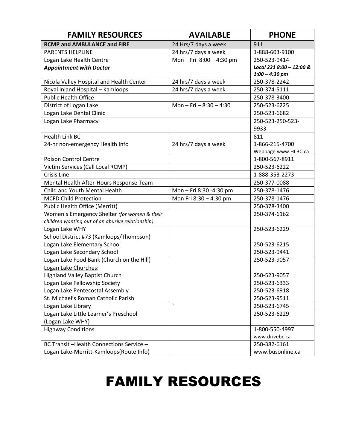| <b>FAMILY RESOURCES</b>                          | <b>AVAILABLE</b>          | <b>PHONE</b>             |
|--------------------------------------------------|---------------------------|--------------------------|
| <b>RCMP and AMBULANCE and FIRE</b>               | 24 Hrs/7 days a week      | 911                      |
| <b>PARENTS HELPLINE</b>                          | 24 hrs/7 days a week      | 1-888-603-9100           |
| Logan Lake Health Centre                         | Mon-Fri 8:00-4:30 pm      | 250-523-9414             |
| <b>Appointment with Doctor</b>                   |                           | Local 221 8:00 - 12:00 & |
|                                                  |                           | $1:00 - 4:30$ pm         |
| Nicola Valley Hospital and Health Center         | 24 hrs/7 days a week      | 250-378-2242             |
| Royal Inland Hospital - Kamloops                 | 24 hrs/7 days a week      | 250-374-5111             |
| <b>Public Health Office</b>                      |                           | 250-378-3400             |
| District of Logan Lake                           | Mon - Fri - $8:30 - 4:30$ | 250-523-6225             |
| Logan Lake Dental Clinic                         |                           | 250-523-6682             |
| Logan Lake Pharmacy                              |                           | 250-523-250-523-         |
|                                                  |                           | 9933                     |
| <b>Health Link BC</b>                            |                           | 811                      |
| 24-hr non-emergency Health Info                  | 24 hrs/7 days a week      | 1-866-215-4700           |
|                                                  |                           | Webpage www.HLBC.ca      |
| Poison Control Centre                            |                           | 1-800-567-8911           |
| Victim Services (Call Local RCMP)                |                           | 250-523-6222             |
| Crisis Line                                      |                           | 1-888-353-2273           |
| Mental Health After-Hours Response Team          |                           | 250-377-0088             |
| Child and Youth Mental Health                    | Mon-Fri 8:30-4:30 pm      | 250-378-1476             |
| <b>MCFD Child Protection</b>                     | Mon Fri 8:30 - 4:30 pm    | 250-378-1476             |
| <b>Public Health Office (Merritt)</b>            |                           | 250-378-3400             |
| Women's Emergency Shelter (for women & their     |                           | 250-374-6162             |
| children wanting out of an abusive relationship) |                           |                          |
| Logan Lake WHY                                   |                           | 250-523-6229             |
| School District #73 (Kamloops/Thompson)          |                           |                          |
| Logan Lake Elementary School                     |                           | 250-523-6215             |
| Logan Lake Secondary School                      |                           | 250-523-9441             |
| Logan Lake Food Bank (Church on the Hill)        |                           | 250-523-9057             |
| Logan Lake Churches:                             |                           |                          |
| <b>Highland Valley Baptist Church</b>            |                           | 250-523-9057             |
| Logan Lake Fellowship Society                    |                           | 250-523-6333             |
| Logan Lake Pentecostal Assembly                  |                           | 250-523-6918             |
| St. Michael's Roman Catholic Parish              |                           | 250-523-9511             |
| Logan Lake Library                               | $\sqrt{2}$                | 250-523-6745             |
| Logan Lake Little Learner's Preschool            |                           | 250-523-6229             |
| (Logan Lake WHY)                                 |                           |                          |
| <b>Highway Conditions</b>                        |                           | 1-800-550-4997           |
|                                                  |                           | www.drivebc.ca           |
| BC Transit -Health Connections Service -         |                           | 250-382-6161             |
| Logan Lake-Merritt-Kamloops(Route Info)          |                           | www.busonline.ca         |

# FAMILY RESOURCES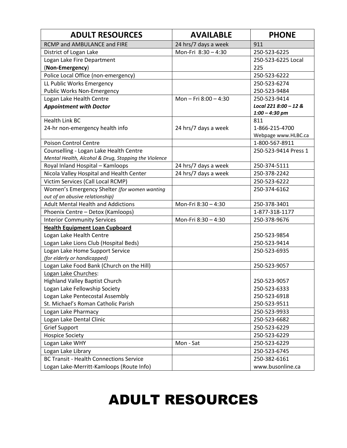| <b>ADULT RESOURCES</b>                                           | <b>AVAILABLE</b>     | <b>PHONE</b>                 |
|------------------------------------------------------------------|----------------------|------------------------------|
| RCMP and AMBULANCE and FIRE                                      | 24 hrs/7 days a week | 911                          |
| District of Logan Lake                                           | Mon-Fri 8:30 - 4:30  | 250-523-6225                 |
| Logan Lake Fire Department                                       |                      | 250-523-6225 Local           |
| (Non-Emergency)                                                  |                      | 225                          |
| Police Local Office (non-emergency)                              |                      | 250-523-6222                 |
| LL Public Works Emergency                                        |                      | 250-523-6274                 |
| Public Works Non-Emergency                                       |                      | 250-523-9484                 |
| Logan Lake Health Centre                                         | Mon-Fri 8:00-4:30    | 250-523-9414                 |
| <b>Appointment with Doctor</b>                                   |                      | Local 221 8:00 - 12 &        |
|                                                                  |                      | $1:00 - 4:30$ pm             |
| <b>Health Link BC</b>                                            |                      | 811                          |
| 24-hr non-emergency health info                                  | 24 hrs/7 days a week | 1-866-215-4700               |
|                                                                  |                      | Webpage www.HLBC.ca          |
| <b>Poison Control Centre</b>                                     |                      | 1-800-567-8911               |
| Counselling - Logan Lake Health Centre                           |                      | 250-523-9414 Press 1         |
| Mental Health, Alcohol & Drug, Stopping the Violence             |                      |                              |
| Royal Inland Hospital - Kamloops                                 | 24 hrs/7 days a week | 250-374-5111                 |
| Nicola Valley Hospital and Health Center                         | 24 hrs/7 days a week | 250-378-2242                 |
| Victim Services (Call Local RCMP)                                |                      | 250-523-6222                 |
| Women's Emergency Shelter (for women wanting                     |                      | 250-374-6162                 |
| out of an abusive relationship)                                  |                      |                              |
| <b>Adult Mental Health and Addictions</b>                        | Mon-Fri 8:30 - 4:30  | 250-378-3401                 |
| Phoenix Centre - Detox (Kamloops)                                |                      | 1-877-318-1177               |
| <b>Interior Community Services</b>                               | Mon-Fri 8:30 - 4:30  | 250-378-9676                 |
| <b>Health Equipment Loan Cupboard</b>                            |                      |                              |
| Logan Lake Health Centre                                         |                      | 250-523-9854                 |
| Logan Lake Lions Club (Hospital Beds)                            |                      | 250-523-9414                 |
| Logan Lake Home Support Service                                  |                      | 250-523-6935                 |
| (for elderly or handicapped)                                     |                      |                              |
| Logan Lake Food Bank (Church on the Hill)                        |                      | 250-523-9057                 |
| Logan Lake Churches:                                             |                      |                              |
| <b>Highland Valley Baptist Church</b>                            |                      | 250-523-9057                 |
| Logan Lake Fellowship Society<br>Logan Lake Pentecostal Assembly |                      | 250-523-6333<br>250-523-6918 |
| St. Michael's Roman Catholic Parish                              |                      |                              |
|                                                                  |                      | 250-523-9511                 |
| Logan Lake Pharmacy                                              |                      | 250-523-9933                 |
| Logan Lake Dental Clinic                                         |                      | 250-523-6682                 |
| <b>Grief Support</b>                                             |                      | 250-523-6229                 |
| <b>Hospice Society</b>                                           |                      | 250-523-6229                 |
| Logan Lake WHY                                                   | Mon - Sat            | 250-523-6229                 |
| Logan Lake Library                                               |                      | 250-523-6745                 |
| <b>BC Transit - Health Connections Service</b>                   |                      | 250-382-6161                 |
| Logan Lake-Merritt-Kamloops (Route Info)                         |                      | www.busonline.ca             |

## ADULT RESOURCES